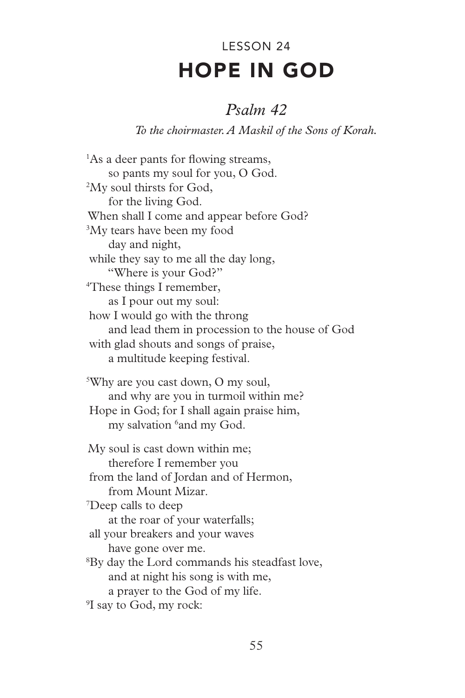# HOPE IN GOD LESSON 24

# *Psalm 42*

*To the choirmaster. A Maskil of the Sons of Korah.*

<sup>1</sup>As a deer pants for flowing streams, so pants my soul for you, O God. 2 My soul thirsts for God, for the living God. When shall I come and appear before God? 3 My tears have been my food day and night, while they say to me all the day long, "Where is your God?" 4 These things I remember, as I pour out my soul: how I would go with the throng and lead them in procession to the house of God with glad shouts and songs of praise, a multitude keeping festival. 5 Why are you cast down, O my soul, and why are you in turmoil within me? Hope in God; for I shall again praise him, my salvation 6 and my God. My soul is cast down within me; therefore I remember you from the land of Jordan and of Hermon, from Mount Mizar. 7 Deep calls to deep at the roar of your waterfalls; all your breakers and your waves have gone over me. 8 By day the Lord commands his steadfast love, and at night his song is with me, a prayer to the God of my life. 9 I say to God, my rock: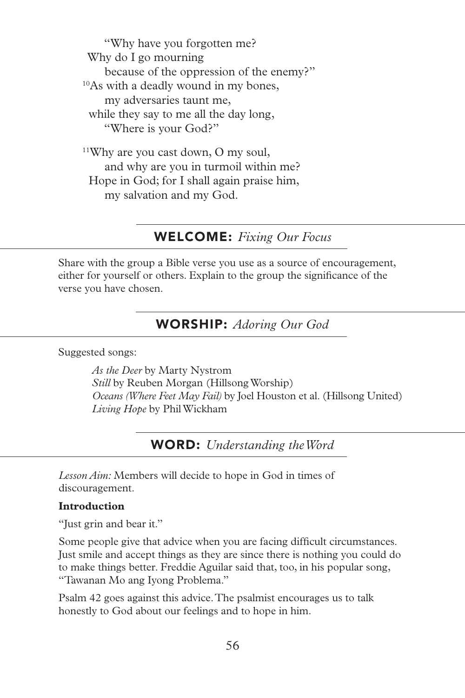"Why have you forgotten me? Why do I go mourning because of the oppression of the enemy?" 10As with a deadly wound in my bones, my adversaries taunt me, while they say to me all the day long, "Where is your God?"

11Why are you cast down, O my soul, and why are you in turmoil within me? Hope in God; for I shall again praise him, my salvation and my God.

# WELCOME: *Fixing Our Focus*

Share with the group a Bible verse you use as a source of encouragement, either for yourself or others. Explain to the group the significance of the verse you have chosen.

# WORSHIP: *Adoring Our God*

Suggested songs:

*As the Deer* by Marty Nystrom *Still* by Reuben Morgan (Hillsong Worship) *Oceans (Where Feet May Fail)* by Joel Houston et al. (Hillsong United) *Living Hope* by Phil Wickham

WORD: *Understanding the Word*

*Lesson Aim:* Members will decide to hope in God in times of discouragement.

#### **Introduction**

"Just grin and bear it."

Some people give that advice when you are facing difficult circumstances. Just smile and accept things as they are since there is nothing you could do to make things better. Freddie Aguilar said that, too, in his popular song, "Tawanan Mo ang Iyong Problema."

Psalm 42 goes against this advice. The psalmist encourages us to talk honestly to God about our feelings and to hope in him.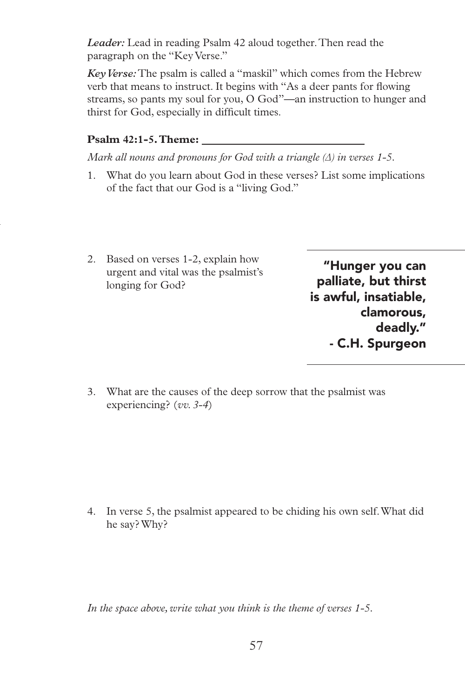*Leader:* Lead in reading Psalm 42 aloud together. Then read the paragraph on the "Key Verse."

*Key Verse:* The psalm is called a "maskil" which comes from the Hebrew verb that means to instruct. It begins with "As a deer pants for flowing streams, so pants my soul for you, O God"—an instruction to hunger and thirst for God, especially in difficult times.

#### **Psalm 42:1-5. Theme:**

*Mark all nouns and pronouns for God with a triangle (∆) in verses 1-5.*

- 1. What do you learn about God in these verses? List some implications of the fact that our God is a "living God."
- 2. Based on verses 1-2, explain how urgent and vital was the psalmist's longing for God?

"Hunger you can palliate, but thirst is awful, insatiable, clamorous, deadly." - C.H. Spurgeon

3. What are the causes of the deep sorrow that the psalmist was experiencing? (*vv. 3-4*)

4. In verse 5, the psalmist appeared to be chiding his own self. What did he say? Why?

*In the space above, write what you think is the theme of verses 1-5.*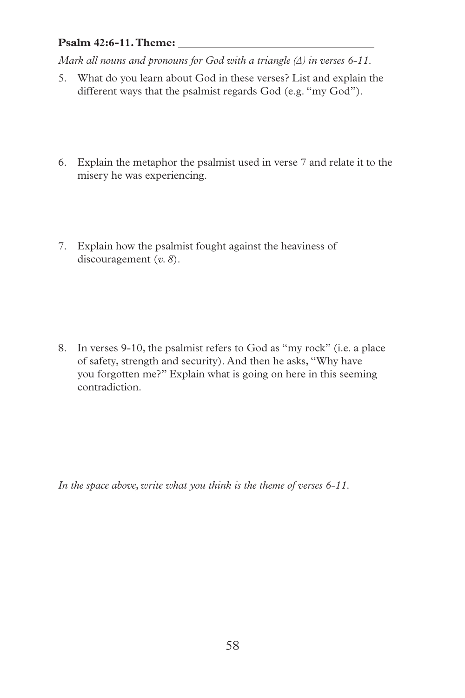#### **Psalm 42:6-11. Theme:**

*Mark all nouns and pronouns for God with a triangle (∆) in verses 6-11.*

- 5. What do you learn about God in these verses? List and explain the different ways that the psalmist regards God (e.g. "my God").
- 6. Explain the metaphor the psalmist used in verse 7 and relate it to the misery he was experiencing.
- 7. Explain how the psalmist fought against the heaviness of discouragement (*v. 8*).

8. In verses 9-10, the psalmist refers to God as "my rock" (i.e. a place of safety, strength and security). And then he asks, "Why have you forgotten me?" Explain what is going on here in this seeming contradiction.

*In the space above, write what you think is the theme of verses 6-11.*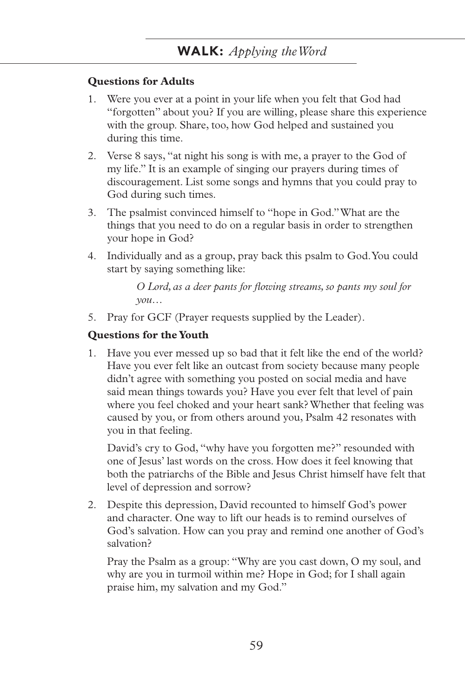## **Questions for Adults**

- 1. Were you ever at a point in your life when you felt that God had "forgotten" about you? If you are willing, please share this experience with the group. Share, too, how God helped and sustained you during this time.
- 2. Verse 8 says, "at night his song is with me, a prayer to the God of my life." It is an example of singing our prayers during times of discouragement. List some songs and hymns that you could pray to God during such times.
- 3. The psalmist convinced himself to "hope in God." What are the things that you need to do on a regular basis in order to strengthen your hope in God?
- 4. Individually and as a group, pray back this psalm to God. You could start by saying something like:

*O Lord, as a deer pants for flowing streams, so pants my soul for you…*

5. Pray for GCF (Prayer requests supplied by the Leader).

## **Questions for the Youth**

1. Have you ever messed up so bad that it felt like the end of the world? Have you ever felt like an outcast from society because many people didn't agree with something you posted on social media and have said mean things towards you? Have you ever felt that level of pain where you feel choked and your heart sank? Whether that feeling was caused by you, or from others around you, Psalm 42 resonates with you in that feeling.

David's cry to God, "why have you forgotten me?" resounded with one of Jesus' last words on the cross. How does it feel knowing that both the patriarchs of the Bible and Jesus Christ himself have felt that level of depression and sorrow?

2. Despite this depression, David recounted to himself God's power and character. One way to lift our heads is to remind ourselves of God's salvation. How can you pray and remind one another of God's salvation?

Pray the Psalm as a group: "Why are you cast down, O my soul, and why are you in turmoil within me? Hope in God; for I shall again praise him, my salvation and my God."